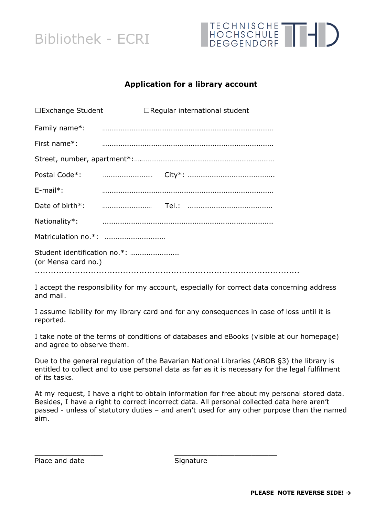



### **Application for a library account**

| □Exchange Student   | $\Box$ Regular international student |
|---------------------|--------------------------------------|
| Family name*:       |                                      |
| First name*:        |                                      |
|                     |                                      |
|                     |                                      |
| $E$ -mail*:         |                                      |
|                     |                                      |
| Nationality*:       |                                      |
|                     |                                      |
| (or Mensa card no.) |                                      |
|                     |                                      |

I accept the responsibility for my account, especially for correct data concerning address and mail.

I assume liability for my library card and for any consequences in case of loss until it is reported.

I take note of the terms of conditions of databases and eBooks (visible at our homepage) and agree to observe them.

Due to the general regulation of the Bavarian National Libraries (ABOB §3) the library is entitled to collect and to use personal data as far as it is necessary for the legal fulfilment of its tasks.

At my request, I have a right to obtain information for free about my personal stored data. Besides, I have a right to correct incorrect data. All personal collected data here aren't passed - unless of statutory duties – and aren't used for any other purpose than the named aim.

Place and date

| Signature |
|-----------|
|           |

\_\_\_\_\_\_\_\_\_\_\_\_\_\_\_\_ \_\_\_\_\_\_\_\_\_\_\_\_\_\_\_\_\_\_\_\_\_\_\_\_